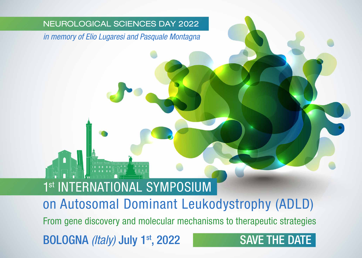#### NEUROLOGICAL SCIENCES DAY 2022

*in memory of Elio Lugaresi and Pasquale Montagna*

# 1<sup>st</sup> INTERNATIONAL SYMPOSIUM

on Autosomal Dominant Leukodystrophy (ADLD)

From gene discovery and molecular mechanisms to therapeutic strategies

BOLOGNA *(Italy)* July 1st, 2022

## SAVE THE DATE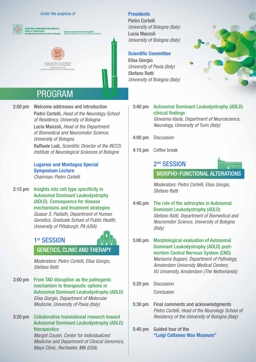#### Under the auspices of



## **PROGRAM**

2:00 pm Welcome addresses and introduction Pietro Cortelli, *Head of the Neurology School of Residency, University of Bologna* Lucia Manzoli, *Head of the Department of Biomedical and Neuromotor Science, University of Bologna* Raffaele Lodi, *Scientific Director of the IRCCS Institute of Neurological Sciences of Bologna*

#### **Lugaresi and Montagna Special**  Symposium Lecture  *Chairman: Pietro Cortelli*

2:15 pm Insights into cell type specificity in Autosomal Dominant Leukodystrophy (ADLD). Consequence for disease mechanisms and treatment strategies *Quasar S. Padiath, Department of Human Genetics, Graduate School of Public Health, University of Pittsburgh, PA (USA)* 

#### 1st SESSION

## GENETICS, CLINIC AND THERAPY

 *Moderators: Pietro Cortelli, Elisa Giorgio, Stefano Ratti*

3:00 pm From TAD disruption as the pathogenic mechanism to therapeutic options in Autosomal Dominant Leukodystrophy (ADLD) *Elisa Giorgio, Department of Molecular Medicine, University of Pavia (Italy)* 

3:20 pm Collaborative translational research toward Autosomal Dominant Leukodystrophy (ADLD) therapeutics

> *Margot Cousin, Center for Individualized Medicine and Department of Clinical Genomics, Mayo Clinic, Rochester, MN (USA)*

#### **Presidents**

Pietro Cortelli *University of Bologna (Italy)*  Lucia Manzoli *University of Bologna (Italy)* 

#### Scientific Committee

Elisa Giorgio *University of Pavia (Italy)* Stefano Ratti *University of Bologna (Italy)* 



3:40 pm Autosomal Dominant Leukodystrophy (ADLD) clinical findings

 *Giovanna Vaula, Department of Neuroscience, Neurology, University of Turin (Italy)*

- 4:00 pm Discussion
- 4:15 pm Coffee break



 *Moderators: Pietro Cortelli, Elisa Giorgio, Stefano Ratti*

- 4:40 pm The role of the astrocytes in Autosomal Dominant Leukodystrophy (ADLD) *Stefano Ratti, Department of Biomedical and Neuromotor Science, University of Bologna (Italy)*
- 5:00 pm Morphological evaluation of Autosomal Dominant Leukodystrophy (ADLD) postmortem Central Nervous System (CNS) *Marianna Bugiani, Department of Pathology, Amsterdam University Medical Centers, VU University, Amsterdam (The Netherlands)*
- 5:20 pm Discussion Conclusion
- 5:30 pm Final comments and acknowledgments *Pietro Cortelli, Head of the Neurology School of Residency of the University of Bologna (Italy)*
- 5:40 pm Guided tour of the "Luigi Cattaneo Wax Museum"